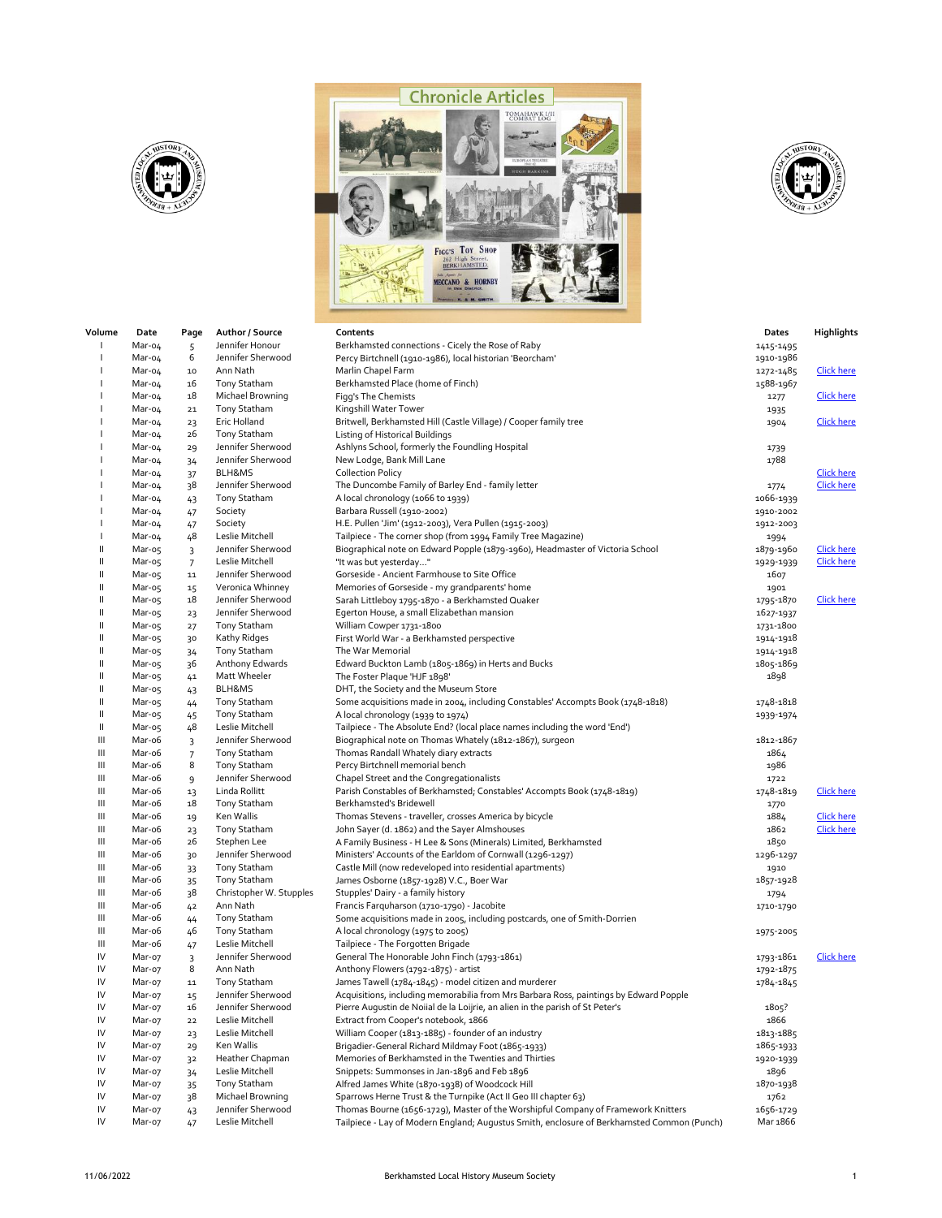





| Volume                                    | Date             | Page           | Author / Source              | Contents                                                                                                        | Dates     | Highlights        |
|-------------------------------------------|------------------|----------------|------------------------------|-----------------------------------------------------------------------------------------------------------------|-----------|-------------------|
| л.                                        | Mar-04           | 5              | Jennifer Honour              | Berkhamsted connections - Cicely the Rose of Raby                                                               | 1415-1495 |                   |
|                                           | Mar-04           | 6              | Jennifer Sherwood            | Percy Birtchnell (1910-1986), local historian 'Beorcham'                                                        | 1910-1986 |                   |
|                                           | Mar-04           | $10\,$         | Ann Nath                     | Marlin Chapel Farm                                                                                              | 1272-1485 | <b>Click here</b> |
|                                           | Mar-04           | 16             | Tony Statham                 | Berkhamsted Place (home of Finch)                                                                               | 1588-1967 |                   |
|                                           | Mar-04           | 18             | Michael Browning             | Figg's The Chemists                                                                                             | 1277      | <b>Click here</b> |
|                                           | Mar-04           | ${\bf 21}$     | Tony Statham                 | Kingshill Water Tower                                                                                           | 1935      |                   |
|                                           | Mar-04           | 23             | Eric Holland                 | Britwell, Berkhamsted Hill (Castle Village) / Cooper family tree                                                | 1904      | <b>Click here</b> |
|                                           | Mar-04           | 26             | Tony Statham                 | Listing of Historical Buildings                                                                                 |           |                   |
|                                           | Mar-04           | 29             | Jennifer Sherwood            | Ashlyns School, formerly the Foundling Hospital                                                                 | 1739      |                   |
|                                           | Mar-04           | 34             | Jennifer Sherwood            | New Lodge, Bank Mill Lane                                                                                       | 1788      |                   |
|                                           | Mar-04           | 37             | BLH&MS                       | <b>Collection Policy</b>                                                                                        |           | <b>Click here</b> |
|                                           | Mar-04           | 38             | Jennifer Sherwood            | The Duncombe Family of Barley End - family letter                                                               | 1774      | <b>Click here</b> |
|                                           | Mar-04           | 43             | Tony Statham                 | A local chronology (1066 to 1939)                                                                               | 1066-1939 |                   |
|                                           | Mar-04           | 47             | Society                      | Barbara Russell (1910-2002)                                                                                     | 1910-2002 |                   |
|                                           | Mar-04           | 47             | Society                      | H.E. Pullen 'Jim' (1912-2003), Vera Pullen (1915-2003)                                                          | 1912-2003 |                   |
|                                           | Mar-04           | 48             | Leslie Mitchell              | Tailpiece - The corner shop (from 1994 Family Tree Magazine)                                                    | 1994      |                   |
| Ш                                         | Mar-05           | 3              | Jennifer Sherwood            | Biographical note on Edward Popple (1879-1960), Headmaster of Victoria School                                   | 1879-1960 | <b>Click here</b> |
| Ш                                         | Mar-o5           | $\overline{7}$ | Leslie Mitchell              | "It was but yesterday"                                                                                          | 1929-1939 | <b>Click here</b> |
| Ш                                         | Mar-05           | ${\bf 11}$     | Jennifer Sherwood            | Gorseside - Ancient Farmhouse to Site Office                                                                    | 1607      |                   |
| Ш                                         | Mar-o5           | 15             | Veronica Whinney             | Memories of Gorseside - my grandparents' home                                                                   | 1901      |                   |
| Ш                                         | Mar-o5           | 18             | Jennifer Sherwood            | Sarah Littleboy 1795-1870 - a Berkhamsted Quaker                                                                | 1795-1870 | <b>Click here</b> |
| Ш                                         | Mar-05           | 23             | Jennifer Sherwood            | Egerton House, a small Elizabethan mansion                                                                      | 1627-1937 |                   |
| Ш                                         | Mar-o5           | 27             | Tony Statham                 | William Cowper 1731-1800                                                                                        | 1731-1800 |                   |
| Ш                                         | Mar-05           | 30             | Kathy Ridges                 | First World War - a Berkhamsted perspective                                                                     | 1914-1918 |                   |
| Ш                                         | Mar-o5           | 34             | Tony Statham                 | The War Memorial                                                                                                | 1914-1918 |                   |
| Ш                                         | Mar-o5           | 36             | Anthony Edwards              | Edward Buckton Lamb (1805-1869) in Herts and Bucks                                                              | 1805-1869 |                   |
| Ш                                         | Mar-o5           | 41             | Matt Wheeler                 | The Foster Plaque 'HJF 1898'                                                                                    | 1898      |                   |
| Ш<br>Ш                                    | Mar-o5           | 43             | BLH&MS                       | DHT, the Society and the Museum Store                                                                           |           |                   |
| $\label{eq:1} \prod_{i=1}^n \mathbb{I}_i$ | Mar-o5           | 44             | Tony Statham<br>Tony Statham | Some acquisitions made in 2004, including Constables' Accompts Book (1748-1818)                                 | 1748-1818 |                   |
| Ш                                         | Mar-05           | 45             | Leslie Mitchell              | A local chronology (1939 to 1974)<br>Tailpiece - The Absolute End? (local place names including the word 'End') | 1939-1974 |                   |
| Ш                                         | Mar-05<br>Mar-o6 | 48             | Jennifer Sherwood            | Biographical note on Thomas Whately (1812-1867), surgeon                                                        | 1812-1867 |                   |
| Ш                                         | Mar-o6           | 3<br>7         | Tony Statham                 | Thomas Randall Whately diary extracts                                                                           | 1864      |                   |
| Ш                                         | Mar-o6           | 8              | Tony Statham                 | Percy Birtchnell memorial bench                                                                                 | 1986      |                   |
| Ш                                         | Mar-o6           | 9              | Jennifer Sherwood            | Chapel Street and the Congregationalists                                                                        | 1722      |                   |
| Ш                                         | Mar-o6           | 13             | Linda Rollitt                | Parish Constables of Berkhamsted; Constables' Accompts Book (1748-1819)                                         | 1748-1819 | Click here        |
| Ш                                         | Mar-o6           | 18             | Tony Statham                 | Berkhamsted's Bridewell                                                                                         | 1770      |                   |
| Ш                                         | Mar-o6           | 19             | Ken Wallis                   | Thomas Stevens - traveller, crosses America by bicycle                                                          | 1884      | <b>Click here</b> |
| Ш                                         | Mar-o6           | 23             | Tony Statham                 | John Sayer (d. 1862) and the Sayer Almshouses                                                                   | 1862      | <b>Click here</b> |
| Ш                                         | Mar-o6           | 26             | Stephen Lee                  | A Family Business - H Lee & Sons (Minerals) Limited, Berkhamsted                                                | 1850      |                   |
| Ш                                         | Mar-o6           | 30             | Jennifer Sherwood            | Ministers' Accounts of the Earldom of Cornwall (1296-1297)                                                      | 1296-1297 |                   |
| Ш                                         | Mar-o6           | 33             | Tony Statham                 | Castle Mill (now redeveloped into residential apartments)                                                       | 1910      |                   |
| Ш                                         | Mar-o6           | 35             | Tony Statham                 | James Osborne (1857-1928) V.C., Boer War                                                                        | 1857-1928 |                   |
| Ш                                         | Mar-o6           | 38             | Christopher W. Stupples      | Stupples' Dairy - a family history                                                                              | 1794      |                   |
| Ш                                         | Mar-o6           | 42             | Ann Nath                     | Francis Farquharson (1710-1790) - Jacobite                                                                      | 1710-1790 |                   |
| Ш                                         | Mar-o6           | 44             | Tony Statham                 | Some acquisitions made in 2005, including postcards, one of Smith-Dorrien                                       |           |                   |
| Ш                                         | Mar-o6           | 46             | Tony Statham                 | A local chronology (1975 to 2005)                                                                               | 1975-2005 |                   |
| Ш                                         | Mar-o6           | 47             | Leslie Mitchell              | Tailpiece - The Forgotten Brigade                                                                               |           |                   |
| IV                                        | Mar-07           | 3              | Jennifer Sherwood            | General The Honorable John Finch (1793-1861)                                                                    | 1793-1861 | <b>Click here</b> |
| IV                                        | Mar-07           | 8              | Ann Nath                     | Anthony Flowers (1792-1875) - artist                                                                            | 1792-1875 |                   |
| IV                                        | Mar-07           | ${\bf 11}$     | Tony Statham                 | James Tawell (1784-1845) - model citizen and murderer                                                           | 1784-1845 |                   |
| IV                                        | Mar-07           | 15             | Jennifer Sherwood            | Acquisitions, including memorabilia from Mrs Barbara Ross, paintings by Edward Popple                           |           |                   |
| IV                                        | Mar-07           | 16             | Jennifer Sherwood            | Pierre Augustin de Noiial de la Loijrie, an alien in the parish of St Peter's                                   | 1805?     |                   |
| IV                                        | Mar-07           | 22             | Leslie Mitchell              | Extract from Cooper's notebook, 1866                                                                            | 1866      |                   |
| IV                                        | Mar-07           | 23             | Leslie Mitchell              | William Cooper (1813-1885) - founder of an industry                                                             | 1813-1885 |                   |
| IV                                        | Mar-07           | 29             | Ken Wallis                   | Brigadier-General Richard Mildmay Foot (1865-1933)                                                              | 1865-1933 |                   |
| IV                                        | Mar-07           | 32             | Heather Chapman              | Memories of Berkhamsted in the Twenties and Thirties                                                            | 1920-1939 |                   |
| IV                                        | Mar-07           | 34             | Leslie Mitchell              | Snippets: Summonses in Jan-1896 and Feb 1896                                                                    | 1896      |                   |
| IV                                        | Mar-07           | 35             | Tony Statham                 | Alfred James White (1870-1938) of Woodcock Hill                                                                 | 1870-1938 |                   |
| IV                                        | Mar-07           | 38             | Michael Browning             | Sparrows Herne Trust & the Turnpike (Act II Geo III chapter 63)                                                 | 1762      |                   |
| IV                                        | Mar-07           | 43             | Jennifer Sherwood            | Thomas Bourne (1656-1729), Master of the Worshipful Company of Framework Knitters                               | 1656-1729 |                   |

IV Mar-07 47 Leslie Mitchell Tailpiece - Lay of Modern England; Augustus Smith, enclosure of Berkhamsted Common (Punch) Mar 1866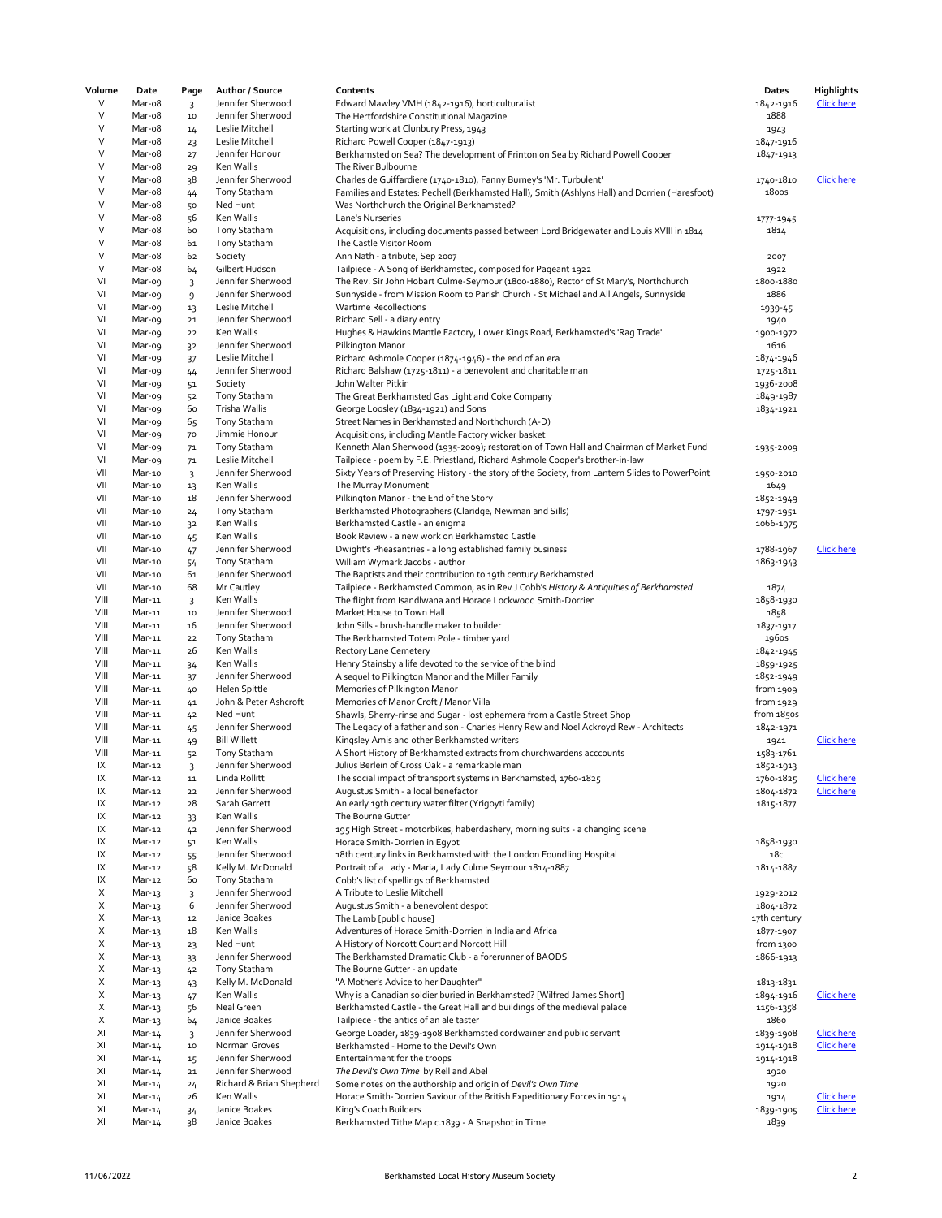| Volume | Date   | Page           | Author / Source          | Contents                                                                                        | Dates        | <b>Highlights</b> |
|--------|--------|----------------|--------------------------|-------------------------------------------------------------------------------------------------|--------------|-------------------|
| V      | Mar-o8 | 3              | Jennifer Sherwood        | Edward Mawley VMH (1842-1916), horticulturalist                                                 | 1842-1916    | <b>Click here</b> |
| V      | Mar-o8 | $10$           | Jennifer Sherwood        | The Hertfordshire Constitutional Magazine                                                       | 1888         |                   |
| V      | Mar-o8 | 14             | Leslie Mitchell          | Starting work at Clunbury Press, 1943                                                           | 1943         |                   |
| V      | Mar-o8 | 23             | Leslie Mitchell          | Richard Powell Cooper (1847-1913)                                                               | 1847-1916    |                   |
| V      | Mar-o8 | 27             | Jennifer Honour          | Berkhamsted on Sea? The development of Frinton on Sea by Richard Powell Cooper                  | 1847-1913    |                   |
| V      | Mar-o8 | 29             | Ken Wallis               | The River Bulbourne                                                                             |              |                   |
| V      | Mar-o8 | 38             | Jennifer Sherwood        | Charles de Guiffardiere (1740-1810), Fanny Burney's 'Mr. Turbulent'                             | 1740-1810    | <b>Click here</b> |
| V      | Mar-o8 |                | Tony Statham             |                                                                                                 | <b>1800S</b> |                   |
| V      |        | 44             |                          | Families and Estates: Pechell (Berkhamsted Hall), Smith (Ashlyns Hall) and Dorrien (Haresfoot)  |              |                   |
|        | Mar-o8 | 50             | Ned Hunt                 | Was Northchurch the Original Berkhamsted?                                                       |              |                   |
| V      | Mar-o8 | 56             | Ken Wallis               | Lane's Nurseries                                                                                | 1777-1945    |                   |
| V      | Mar-o8 | 60             | Tony Statham             | Acquisitions, including documents passed between Lord Bridgewater and Louis XVIII in 1814       | 1814         |                   |
| V      | Mar-o8 | 61             | Tony Statham             | The Castle Visitor Room                                                                         |              |                   |
| V      | Mar-o8 | 62             | Society                  | Ann Nath - a tribute, Sep 2007                                                                  | 2007         |                   |
| V      | Mar-o8 | 64             | Gilbert Hudson           | Tailpiece - A Song of Berkhamsted, composed for Pageant 1922                                    | 1922         |                   |
| VI     | Mar-og | 3              | Jennifer Sherwood        | The Rev. Sir John Hobart Culme-Seymour (1800-1880), Rector of St Mary's, Northchurch            | 1800-1880    |                   |
| VI     | Mar-o9 | 9              | Jennifer Sherwood        | Sunnyside - from Mission Room to Parish Church - St Michael and All Angels, Sunnyside           | 1886         |                   |
| VI     | Mar-og | 13             | Leslie Mitchell          | <b>Wartime Recollections</b>                                                                    | 1939-45      |                   |
| VI     | Mar-og | ${\bf 21}$     | Jennifer Sherwood        | Richard Sell - a diary entry                                                                    | 1940         |                   |
| VI     | Mar-o9 | 22             | Ken Wallis               | Hughes & Hawkins Mantle Factory, Lower Kings Road, Berkhamsted's 'Rag Trade'                    | 1900-1972    |                   |
| VI     | Mar-o9 | 32             | Jennifer Sherwood        | Pilkington Manor                                                                                | 1616         |                   |
| VI     | Mar-o9 | 37             | Leslie Mitchell          | Richard Ashmole Cooper (1874-1946) - the end of an era                                          | 1874-1946    |                   |
| VI     | Mar-o9 |                | Jennifer Sherwood        | Richard Balshaw (1725-1811) - a benevolent and charitable man                                   | 1725-1811    |                   |
|        |        | 44             |                          | John Walter Pitkin                                                                              |              |                   |
| VI     | Mar-og | 51             | Society                  |                                                                                                 | 1936-2008    |                   |
| VI     | Mar-o9 | 52             | Tony Statham             | The Great Berkhamsted Gas Light and Coke Company                                                | 1849-1987    |                   |
| VI     | Mar-o9 | 60             | Trisha Wallis            | George Loosley (1834-1921) and Sons                                                             | 1834-1921    |                   |
| VI     | Mar-o9 | 65             | Tony Statham             | Street Names in Berkhamsted and Northchurch (A-D)                                               |              |                   |
| VI     | Mar-o9 | 70             | Jimmie Honour            | Acquisitions, including Mantle Factory wicker basket                                            |              |                   |
| VI     | Mar-o9 | 71             | Tony Statham             | Kenneth Alan Sherwood (1935-2009); restoration of Town Hall and Chairman of Market Fund         | 1935-2009    |                   |
| VI     | Mar-o9 | 7 <sup>1</sup> | Leslie Mitchell          | Tailpiece - poem by F.E. Priestland, Richard Ashmole Cooper's brother-in-law                    |              |                   |
| VII    | Mar-10 | $\overline{3}$ | Jennifer Sherwood        | Sixty Years of Preserving History - the story of the Society, from Lantern Slides to PowerPoint | 1950-2010    |                   |
| VII    | Mar-10 | 13             | Ken Wallis               | The Murray Monument                                                                             | 1649         |                   |
| VII    | Mar-10 | 18             | Jennifer Sherwood        | Pilkington Manor - the End of the Story                                                         | 1852-1949    |                   |
| VII    | Mar-10 | 24             | Tony Statham             | Berkhamsted Photographers (Claridge, Newman and Sills)                                          | 1797-1951    |                   |
| VII    | Mar-10 | 32             | Ken Wallis               | Berkhamsted Castle - an enigma                                                                  | 1066-1975    |                   |
| VII    | Mar-10 | 45             | Ken Wallis               | Book Review - a new work on Berkhamsted Castle                                                  |              |                   |
| VII    | Mar-10 |                | Jennifer Sherwood        |                                                                                                 |              | Click here        |
|        |        | 47             |                          | Dwight's Pheasantries - a long established family business                                      | 1788-1967    |                   |
| VII    | Mar-10 | 54             | <b>Tony Statham</b>      | William Wymark Jacobs - author                                                                  | 1863-1943    |                   |
| VII    | Mar-10 | 61             | Jennifer Sherwood        | The Baptists and their contribution to 19th century Berkhamsted                                 |              |                   |
| VII    | Mar-10 | 68             | Mr Cautley               | Tailpiece - Berkhamsted Common, as in Rev J Cobb's History & Antiquities of Berkhamsted         | 1874         |                   |
| VIII   | Mar-11 | $\overline{3}$ | Ken Wallis               | The flight from Isandlwana and Horace Lockwood Smith-Dorrien                                    | 1858-1930    |                   |
| VIII   | Mar-11 | $10\,$         | Jennifer Sherwood        | Market House to Town Hall                                                                       | 1858         |                   |
| VIII   | Mar-11 | 16             | Jennifer Sherwood        | John Sills - brush-handle maker to builder                                                      | 1837-1917    |                   |
| VIII   | Mar-11 | 22             | <b>Tony Statham</b>      | The Berkhamsted Totem Pole - timber yard                                                        | 1960s        |                   |
| VIII   | Mar-11 | 26             | Ken Wallis               | <b>Rectory Lane Cemetery</b>                                                                    | 1842-1945    |                   |
| VIII   | Mar-11 | 34             | Ken Wallis               | Henry Stainsby a life devoted to the service of the blind                                       | 1859-1925    |                   |
| VIII   | Mar-11 | 37             | Jennifer Sherwood        | A sequel to Pilkington Manor and the Miller Family                                              | 1852-1949    |                   |
| VIII   | Mar-11 | 40             | Helen Spittle            | Memories of Pilkington Manor                                                                    | from 1909    |                   |
| VIII   | Mar-11 | 41             | John & Peter Ashcroft    | Memories of Manor Croft / Manor Villa                                                           | from 1929    |                   |
| VIII   | Mar-11 | 42             | Ned Hunt                 | Shawls, Sherry-rinse and Sugar - lost ephemera from a Castle Street Shop                        | from 1850s   |                   |
| VIII   | Mar-11 |                | Jennifer Sherwood        | The Legacy of a father and son - Charles Henry Rew and Noel Ackroyd Rew - Architects            | 1842-1971    |                   |
| VIII   | Mar-11 | 45             | <b>Bill Willett</b>      | Kingsley Amis and other Berkhamsted writers                                                     |              | <b>Click here</b> |
|        | Mar-11 | 49             |                          |                                                                                                 | 1941         |                   |
| VIII   |        | 52             | Tony Statham             | A Short History of Berkhamsted extracts from churchwardens acccounts                            | 1583-1761    |                   |
| IX     | Mar-12 | $\overline{3}$ | Jennifer Sherwood        | Julius Berlein of Cross Oak - a remarkable man                                                  | 1852-1913    |                   |
| IX     | Mar-12 | 11             | Linda Rollitt            | The social impact of transport systems in Berkhamsted, 1760-1825                                | 1760-1825    | <u>Click here</u> |
| IX     | Mar-12 | 22             | Jennifer Sherwood        | Augustus Smith - a local benefactor                                                             | 1804-1872    | <b>Click here</b> |
| IX     | Mar-12 | 28             | Sarah Garrett            | An early 19th century water filter (Yrigoyti family)                                            | 1815-1877    |                   |
| IX     | Mar-12 | 33             | Ken Wallis               | The Bourne Gutter                                                                               |              |                   |
| IX     | Mar-12 | 42             | Jennifer Sherwood        | 195 High Street - motorbikes, haberdashery, morning suits - a changing scene                    |              |                   |
| IX     | Mar-12 | 51             | Ken Wallis               | Horace Smith-Dorrien in Egypt                                                                   | 1858-1930    |                   |
| IX     | Mar-12 | 55             | Jennifer Sherwood        | 18th century links in Berkhamsted with the London Foundling Hospital                            | 18с          |                   |
| IX     | Mar-12 | 58             | Kelly M. McDonald        | Portrait of a Lady - Maria, Lady Culme Seymour 1814-1887                                        | 1814-1887    |                   |
| IX     | Mar-12 | 60             | <b>Tony Statham</b>      | Cobb's list of spellings of Berkhamsted                                                         |              |                   |
| X      | Mar-13 | $\overline{3}$ | Jennifer Sherwood        | A Tribute to Leslie Mitchell                                                                    | 1929-2012    |                   |
| X      | Mar-13 | 6              | Jennifer Sherwood        | Augustus Smith - a benevolent despot                                                            | 1804-1872    |                   |
| Х      | Mar-13 | 12             | Janice Boakes            | The Lamb [public house]                                                                         | 17th century |                   |
| Х      | Mar-13 | 18             | Ken Wallis               | Adventures of Horace Smith-Dorrien in India and Africa                                          | 1877-1907    |                   |
| Χ      |        |                | Ned Hunt                 |                                                                                                 | from 1300    |                   |
|        | Mar-13 | 23             |                          | A History of Norcott Court and Norcott Hill                                                     |              |                   |
| Χ      | Mar-13 | 33             | Jennifer Sherwood        | The Berkhamsted Dramatic Club - a forerunner of BAODS                                           | 1866-1913    |                   |
| X      | Mar-13 | 42             | Tony Statham             | The Bourne Gutter - an update                                                                   |              |                   |
| Х      | Mar-13 | 43             | Kelly M. McDonald        | "A Mother's Advice to her Daughter"                                                             | 1813-1831    |                   |
| X      | Mar-13 | 47             | Ken Wallis               | Why is a Canadian soldier buried in Berkhamsted? [Wilfred James Short]                          | 1894-1916    | <b>Click here</b> |
| X      | Mar-13 | 56             | Neal Green               | Berkhamsted Castle - the Great Hall and buildings of the medieval palace                        | 1156-1358    |                   |
| Х      | Mar-13 | 64             | Janice Boakes            | Tailpiece - the antics of an ale taster                                                         | 1860         |                   |
| XI     | Mar-14 | 3              | Jennifer Sherwood        | George Loader, 1839-1908 Berkhamsted cordwainer and public servant                              | 1839-1908    | <b>Click here</b> |
| XI     | Mar-14 | $10\,$         | Norman Groves            | Berkhamsted - Home to the Devil's Own                                                           | 1914-1918    | <b>Click here</b> |
| XI     | Mar-14 | 15             | Jennifer Sherwood        | Entertainment for the troops                                                                    | 1914-1918    |                   |
| XI     | Mar-14 | ${\bf 21}$     | Jennifer Sherwood        | The Devil's Own Time by Rell and Abel                                                           | 1920         |                   |
| XI     | Mar-14 | 24             | Richard & Brian Shepherd | Some notes on the authorship and origin of Devil's Own Time                                     | 1920         |                   |
| XI     | Mar-14 | 26             | Ken Wallis               | Horace Smith-Dorrien Saviour of the British Expeditionary Forces in 1914                        | 1914         | <b>Click here</b> |
| XI     | Mar-14 | 34             | Janice Boakes            | King's Coach Builders                                                                           | 1839-1905    | Click here        |
| XI     |        |                | Janice Boakes            |                                                                                                 |              |                   |
|        | Mar-14 | 38             |                          | Berkhamsted Tithe Map c.1839 - A Snapshot in Time                                               | 1839         |                   |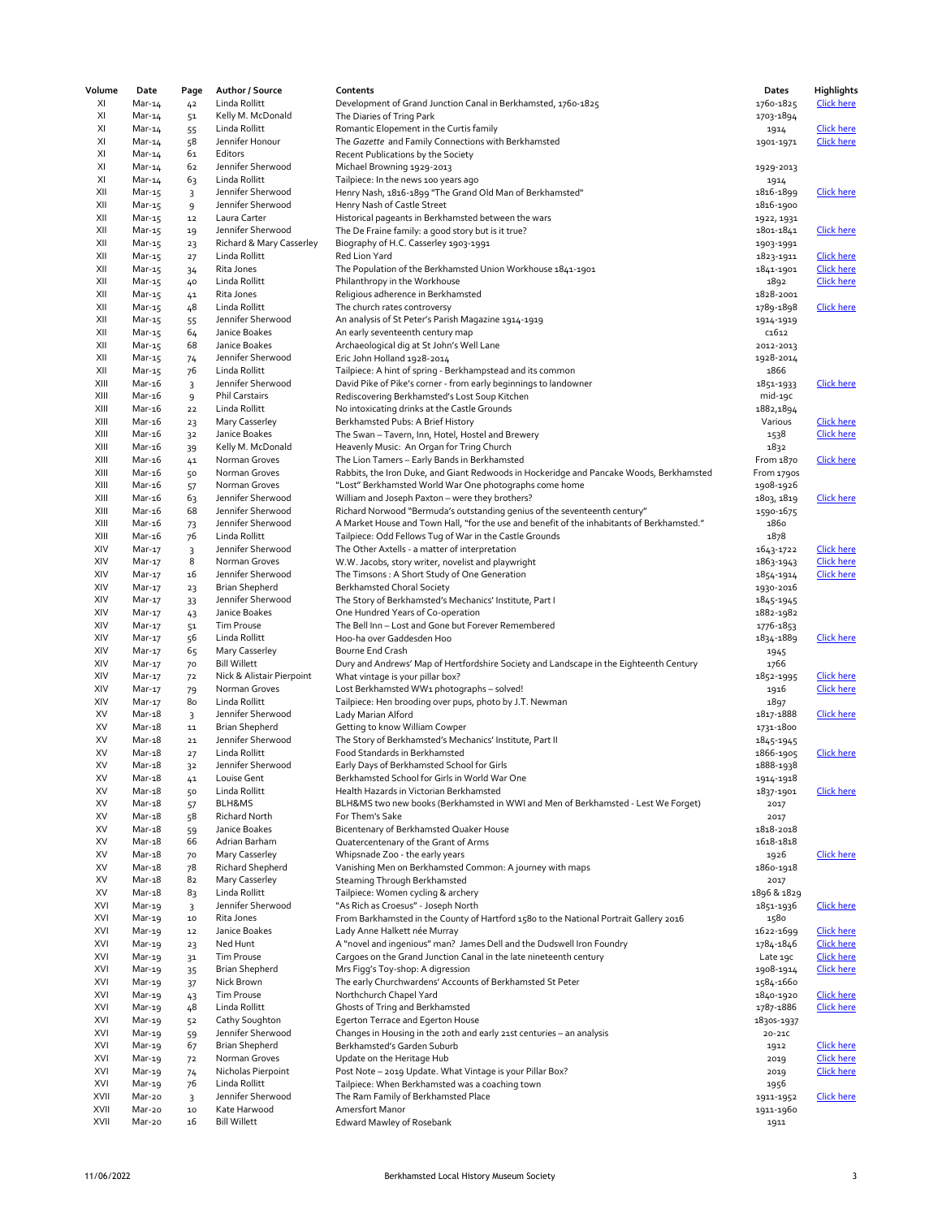| Volume       | Date             | Page                         | Author / Source                     | Contents                                                                                         | Dates                  | Highlights                             |
|--------------|------------------|------------------------------|-------------------------------------|--------------------------------------------------------------------------------------------------|------------------------|----------------------------------------|
| XI           | Mar-14           | 42                           | Linda Rollitt                       | Development of Grand Junction Canal in Berkhamsted, 1760-1825                                    | 1760-1825              | <b>Click here</b>                      |
| XI           | Mar-14           | 51                           | Kelly M. McDonald                   | The Diaries of Tring Park                                                                        | 1703-1894              |                                        |
| XI           | Mar-14           | 55                           | Linda Rollitt                       | Romantic Elopement in the Curtis family                                                          | 1914                   | <b>Click here</b>                      |
| XI           | Mar-14           | 58                           | Jennifer Honour                     | The Gazette and Family Connections with Berkhamsted                                              | 1901-1971              | <b>Click here</b>                      |
| XI           | Mar-14           | 61                           | Editors                             | Recent Publications by the Society                                                               |                        |                                        |
| XI<br>XI     | Mar-14           | 62                           | Jennifer Sherwood<br>Linda Rollitt  | Michael Browning 1929-2013                                                                       | 1929-2013              |                                        |
| XII          | Mar-14<br>Mar-15 | 63                           | Jennifer Sherwood                   | Tailpiece: In the news 100 years ago<br>Henry Nash, 1816-1899 "The Grand Old Man of Berkhamsted" | 1914<br>1816-1899      | <b>Click here</b>                      |
| XII          | Mar-15           | 3<br>9                       | Jennifer Sherwood                   | Henry Nash of Castle Street                                                                      | 1816-1900              |                                        |
| XII          | Mar-15           | 12                           | Laura Carter                        | Historical pageants in Berkhamsted between the wars                                              | 1922, 1931             |                                        |
| XII          | Mar-15           | 19                           | Jennifer Sherwood                   | The De Fraine family: a good story but is it true?                                               | 1801-1841              | Click here                             |
| XII          | Mar-15           | 23                           | Richard & Mary Casserley            | Biography of H.C. Casserley 1903-1991                                                            | 1903-1991              |                                        |
| XII          | Mar-15           | 27                           | Linda Rollitt                       | Red Lion Yard                                                                                    | 1823-1911              | <b>Click here</b>                      |
| XII          | Mar-15           | 34                           | Rita Jones                          | The Population of the Berkhamsted Union Workhouse 1841-1901                                      | 1841-1901              | <b>Click here</b>                      |
| XII          | Mar-15           | 40                           | Linda Rollitt                       | Philanthropy in the Workhouse                                                                    | 1892                   | <b>Click here</b>                      |
| XII          | Mar-15           | 41                           | Rita Jones                          | Religious adherence in Berkhamsted                                                               | 1828-2001              |                                        |
| XII          | Mar-15           | 48                           | Linda Rollitt                       | The church rates controversy                                                                     | 1789-1898              | <b>Click here</b>                      |
| XII          | Mar-15           | 55                           | Jennifer Sherwood                   | An analysis of St Peter's Parish Magazine 1914-1919                                              | 1914-1919              |                                        |
| XII          | Mar-15           | 64                           | Janice Boakes                       | An early seventeenth century map                                                                 | c1612                  |                                        |
| XII          | Mar-15           | 68                           | Janice Boakes                       | Archaeological dig at St John's Well Lane                                                        | 2012-2013              |                                        |
| XII          | Mar-15           | 74                           | Jennifer Sherwood                   | Eric John Holland 1928-2014                                                                      | 1928-2014              |                                        |
| XII          | Mar-15           | 76                           | Linda Rollitt                       | Tailpiece: A hint of spring - Berkhampstead and its common                                       | 1866                   |                                        |
| XIII         | Mar-16           | 3                            | Jennifer Sherwood                   | David Pike of Pike's corner - from early beginnings to landowner                                 | 1851-1933              | <b>Click here</b>                      |
| XIII         | Mar-16           | 9                            | <b>Phil Carstairs</b>               | Rediscovering Berkhamsted's Lost Soup Kitchen                                                    | mid-19C                |                                        |
| XIII         | Mar-16           | 22                           | Linda Rollitt                       | No intoxicating drinks at the Castle Grounds                                                     | 1882,1894              |                                        |
| XIII<br>XIII | Mar-16<br>Mar-16 | 23                           | Mary Casserley<br>Janice Boakes     | Berkhamsted Pubs: A Brief History<br>The Swan - Tavern, Inn, Hotel, Hostel and Brewery           | Various<br>1538        | <b>Click here</b><br><b>Click here</b> |
| XIII         | Mar-16           | 32<br>39                     | Kelly M. McDonald                   | Heavenly Music: An Organ for Tring Church                                                        | 1832                   |                                        |
| XIII         | Mar-16           | 41                           | Norman Groves                       | The Lion Tamers - Early Bands in Berkhamsted                                                     | From 1870              | <b>Click here</b>                      |
| XIII         | Mar-16           | 50                           | Norman Groves                       | Rabbits, the Iron Duke, and Giant Redwoods in Hockeridge and Pancake Woods, Berkhamsted          | From 1790s             |                                        |
| XIII         | Mar-16           | 57                           | Norman Groves                       | "Lost" Berkhamsted World War One photographs come home                                           | 1908-1926              |                                        |
| XIII         | Mar-16           | 63                           | Jennifer Sherwood                   | William and Joseph Paxton - were they brothers?                                                  | 1803, 1819             | Click here                             |
| XIII         | Mar-16           | 68                           | Jennifer Sherwood                   | Richard Norwood "Bermuda's outstanding genius of the seventeenth century"                        | 1590-1675              |                                        |
| XIII         | Mar-16           | 73                           | Jennifer Sherwood                   | A Market House and Town Hall, "for the use and benefit of the inhabitants of Berkhamsted."       | 1860                   |                                        |
| XIII         | Mar-16           | 76                           | Linda Rollitt                       | Tailpiece: Odd Fellows Tug of War in the Castle Grounds                                          | 1878                   |                                        |
| XIV          | Mar-17           | $\overline{3}$               | Jennifer Sherwood                   | The Other Axtells - a matter of interpretation                                                   | 1643-1722              | <b>Click here</b>                      |
| XIV          | Mar-17           | 8                            | Norman Groves                       | W.W. Jacobs, story writer, novelist and playwright                                               | 1863-1943              | <b>Click here</b>                      |
| XIV          | Mar-17           | 16                           | Jennifer Sherwood                   | The Timsons: A Short Study of One Generation                                                     | 1854-1914              | <b>Click here</b>                      |
| XIV          | Mar-17           | 23                           | <b>Brian Shepherd</b>               | <b>Berkhamsted Choral Society</b>                                                                | 1930-2016              |                                        |
| XIV          | Mar-17           | 33                           | Jennifer Sherwood                   | The Story of Berkhamsted's Mechanics' Institute, Part I                                          | 1845-1945              |                                        |
| XIV          | Mar-17           | 43                           | Janice Boakes                       | One Hundred Years of Co-operation                                                                | 1882-1982              |                                        |
| XIV          | Mar-17           | 51                           | <b>Tim Prouse</b>                   | The Bell Inn - Lost and Gone but Forever Remembered                                              | 1776-1853              |                                        |
| XIV          | Mar-17           | 56                           | Linda Rollitt                       | Hoo-ha over Gaddesden Hoo                                                                        | 1834-1889              | Click here                             |
| XIV          | Mar-17           | 65                           | Mary Casserley                      | Bourne End Crash                                                                                 | 1945                   |                                        |
| XIV          | Mar-17           | 70                           | <b>Bill Willett</b>                 | Dury and Andrews' Map of Hertfordshire Society and Landscape in the Eighteenth Century           | 1766                   |                                        |
| XIV<br>XIV   | Mar-17           | 72                           | Nick & Alistair Pierpoint           | What vintage is your pillar box?                                                                 | 1852-1995              | <b>Click here</b><br><b>Click here</b> |
| XIV          | Mar-17           | 79<br>80                     | Norman Groves<br>Linda Rollitt      | Lost Berkhamsted WW1 photographs - solved!                                                       | 1916<br>1897           |                                        |
| XV           | Mar-17<br>Mar-18 |                              | Jennifer Sherwood                   | Tailpiece: Hen brooding over pups, photo by J.T. Newman<br>Lady Marian Alford                    | 1817-1888              | Click here                             |
| XV           | Mar-18           | $\overline{3}$<br>${\bf 11}$ | <b>Brian Shepherd</b>               | Getting to know William Cowper                                                                   | 1731-1800              |                                        |
| XV           | Mar-18           | 21                           | Jennifer Sherwood                   | The Story of Berkhamsted's Mechanics' Institute, Part II                                         | 1845-1945              |                                        |
| XV           | Mar-18           | 27                           | Linda Rollitt                       | Food Standards in Berkhamsted                                                                    | 1866-1905              | <b>Click here</b>                      |
| XV           | Mar-18           | 32                           | Jennifer Sherwood                   | Early Days of Berkhamsted School for Girls                                                       | 1888-1938              |                                        |
| XV           | Mar-18           | 41                           | Louise Gent                         | Berkhamsted School for Girls in World War One                                                    | 1914-1918              |                                        |
| XV           | Mar-18           | 50                           | Linda Rollitt                       | Health Hazards in Victorian Berkhamsted                                                          | 1837-1901              | Click here                             |
| XV           | Mar-18           | 57                           | BLH&MS                              | BLH&MS two new books (Berkhamsted in WWI and Men of Berkhamsted - Lest We Forget)                | 2017                   |                                        |
| XV           | Mar-18           | 58                           | Richard North                       | For Them's Sake                                                                                  | 2017                   |                                        |
| XV           | Mar-18           | 59                           | Janice Boakes                       | Bicentenary of Berkhamsted Quaker House                                                          | 1818-2018              |                                        |
| XV           | Mar-18           | 66                           | Adrian Barham                       | Quatercentenary of the Grant of Arms                                                             | 1618-1818              |                                        |
| XV           | Mar-18           | 70                           | Mary Casserley                      | Whipsnade Zoo - the early years                                                                  | 1926                   | <b>Click here</b>                      |
| XV           | Mar-18           | 78                           | Richard Shepherd                    | Vanishing Men on Berkhamsted Common: A journey with maps                                         | 1860-1918              |                                        |
| XV           | Mar-18           | 82                           | Mary Casserley                      | Steaming Through Berkhamsted                                                                     | 2017                   |                                        |
| XV           | Mar-18           | 83                           | Linda Rollitt                       | Tailpiece: Women cycling & archery                                                               | 1896 & 1829            |                                        |
| XVI          | Mar-19           | 3                            | Jennifer Sherwood                   | "As Rich as Croesus" - Joseph North                                                              | 1851-1936              | Click here                             |
| XVI          | Mar-19           | $10\,$                       | Rita Jones                          | From Barkhamsted in the County of Hartford 1580 to the National Portrait Gallery 2016            | 1580                   |                                        |
| XVI          | Mar-19           | ${\bf 12}$                   | Janice Boakes                       | Lady Anne Halkett née Murray                                                                     | 1622-1699              | <b>Click here</b>                      |
| XVI          | Mar-19           | 23                           | Ned Hunt                            | A "novel and ingenious" man? James Dell and the Dudswell Iron Foundry                            | 1784-1846              | <b>Click here</b>                      |
| XVI          | Mar-19           | 3 <sup>1</sup>               | Tim Prouse                          | Cargoes on the Grand Junction Canal in the late nineteenth century                               | Late 19C               | <b>Click here</b>                      |
| XVI<br>XVI   | Mar-19           | 35                           | <b>Brian Shepherd</b><br>Nick Brown | Mrs Figg's Toy-shop: A digression<br>The early Churchwardens' Accounts of Berkhamsted St Peter   | 1908-1914<br>1584-1660 | Click here                             |
| XVI          | Mar-19<br>Mar-19 | 37                           | Tim Prouse                          | Northchurch Chapel Yard                                                                          |                        | <b>Click here</b>                      |
| XVI          | Mar-19           | 43<br>48                     | Linda Rollitt                       | Ghosts of Tring and Berkhamsted                                                                  | 1840-1920<br>1787-1886 | Click here                             |
| XVI          | Mar-19           | 52                           | Cathy Soughton                      | Egerton Terrace and Egerton House                                                                | 18305-1937             |                                        |
| XVI          | Mar-19           | 59                           | Jennifer Sherwood                   | Changes in Housing in the 20th and early 21st centuries - an analysis                            | $20 - 21C$             |                                        |
| XVI          | Mar-19           | 67                           | <b>Brian Shepherd</b>               | Berkhamsted's Garden Suburb                                                                      | 1912                   | <b>Click here</b>                      |
| XVI          | Mar-19           | 72                           | Norman Groves                       | Update on the Heritage Hub                                                                       | 2019                   | <b>Click here</b>                      |
| XVI          | Mar-19           | 74                           | Nicholas Pierpoint                  | Post Note - 2019 Update. What Vintage is your Pillar Box?                                        | 2019                   | Click here                             |
| XVI          | Mar-19           | 76                           | Linda Rollitt                       | Tailpiece: When Berkhamsted was a coaching town                                                  | 1956                   |                                        |
| XVII         | Mar-20           | 3                            | Jennifer Sherwood                   | The Ram Family of Berkhamsted Place                                                              | 1911-1952              | <b>Click here</b>                      |
| XVII         | Mar-20           | $10\,$                       | Kate Harwood                        | Amersfort Manor                                                                                  | 1911-1960              |                                        |
| XVII         | Mar-20           | 16                           | <b>Bill Willett</b>                 | Edward Mawley of Rosebank                                                                        | 1911                   |                                        |
|              |                  |                              |                                     |                                                                                                  |                        |                                        |